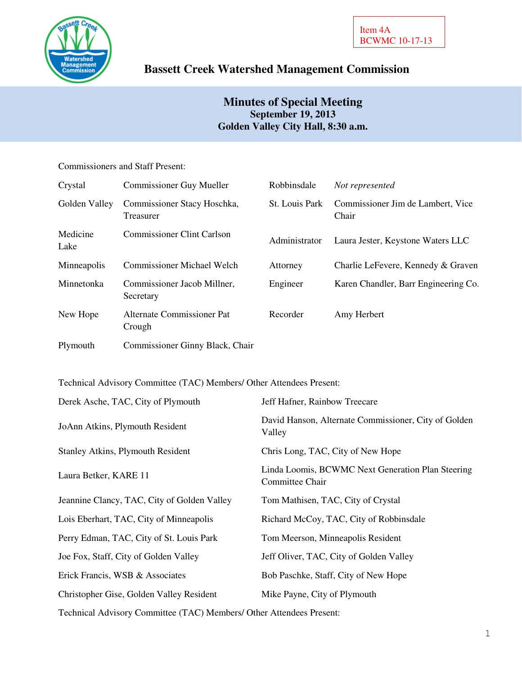

# **Bassett Creek Watershed Management Commission**

## **Minutes of Special Meeting September 19, 2013 Golden Valley City Hall, 8:30 a.m.**

### Commissioners and Staff Present:

| Crystal          | <b>Commissioner Guy Mueller</b>          | Robbinsdale    | Not represented                            |
|------------------|------------------------------------------|----------------|--------------------------------------------|
| Golden Valley    | Commissioner Stacy Hoschka,<br>Treasurer | St. Louis Park | Commissioner Jim de Lambert, Vice<br>Chair |
| Medicine<br>Lake | <b>Commissioner Clint Carlson</b>        | Administrator  | Laura Jester, Keystone Waters LLC          |
| Minneapolis      | <b>Commissioner Michael Welch</b>        | Attorney       | Charlie LeFevere, Kennedy & Graven         |
| Minnetonka       | Commissioner Jacob Millner,<br>Secretary | Engineer       | Karen Chandler, Barr Engineering Co.       |
| New Hope         | Alternate Commissioner Pat<br>Crough     | Recorder       | Amy Herbert                                |
| Plymouth         | Commissioner Ginny Black, Chair          |                |                                            |

Technical Advisory Committee (TAC) Members/ Other Attendees Present:

| Jeff Hafner, Rainbow Treecare                                        |
|----------------------------------------------------------------------|
| David Hanson, Alternate Commissioner, City of Golden<br>Valley       |
| Chris Long, TAC, City of New Hope                                    |
| Linda Loomis, BCWMC Next Generation Plan Steering<br>Committee Chair |
| Tom Mathisen, TAC, City of Crystal                                   |
| Richard McCoy, TAC, City of Robbinsdale                              |
| Tom Meerson, Minneapolis Resident                                    |
| Jeff Oliver, TAC, City of Golden Valley                              |
| Bob Paschke, Staff, City of New Hope                                 |
| Mike Payne, City of Plymouth                                         |
|                                                                      |

Technical Advisory Committee (TAC) Members/ Other Attendees Present: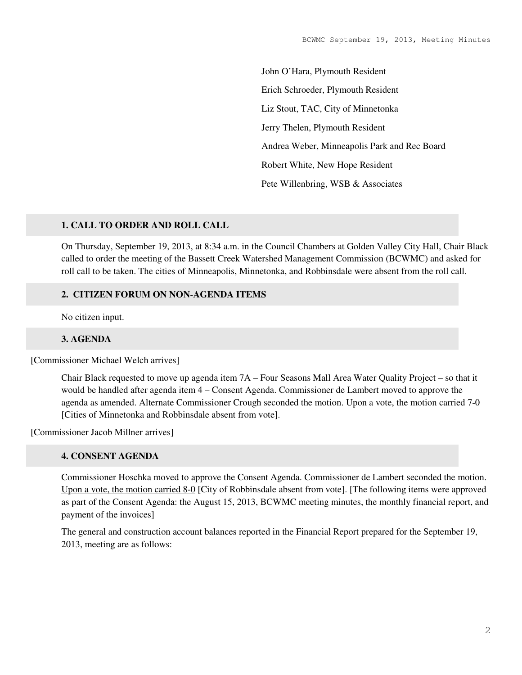John O'Hara, Plymouth Resident Erich Schroeder, Plymouth Resident Liz Stout, TAC, City of Minnetonka Jerry Thelen, Plymouth Resident Andrea Weber, Minneapolis Park and Rec Board Robert White, New Hope Resident Pete Willenbring, WSB & Associates

### **1. CALL TO ORDER AND ROLL CALL**

On Thursday, September 19, 2013, at 8:34 a.m. in the Council Chambers at Golden Valley City Hall, Chair Black called to order the meeting of the Bassett Creek Watershed Management Commission (BCWMC) and asked for roll call to be taken. The cities of Minneapolis, Minnetonka, and Robbinsdale were absent from the roll call.

### **2. CITIZEN FORUM ON NON-AGENDA ITEMS**

No citizen input.

#### **3. AGENDA**

[Commissioner Michael Welch arrives]

Chair Black requested to move up agenda item 7A – Four Seasons Mall Area Water Quality Project – so that it would be handled after agenda item 4 – Consent Agenda. Commissioner de Lambert moved to approve the agenda as amended. Alternate Commissioner Crough seconded the motion. Upon a vote, the motion carried 7-0 [Cities of Minnetonka and Robbinsdale absent from vote].

[Commissioner Jacob Millner arrives]

#### **4. CONSENT AGENDA**

Commissioner Hoschka moved to approve the Consent Agenda. Commissioner de Lambert seconded the motion. Upon a vote, the motion carried 8-0 [City of Robbinsdale absent from vote]. [The following items were approved as part of the Consent Agenda: the August 15, 2013, BCWMC meeting minutes, the monthly financial report, and payment of the invoices]

The general and construction account balances reported in the Financial Report prepared for the September 19, 2013, meeting are as follows: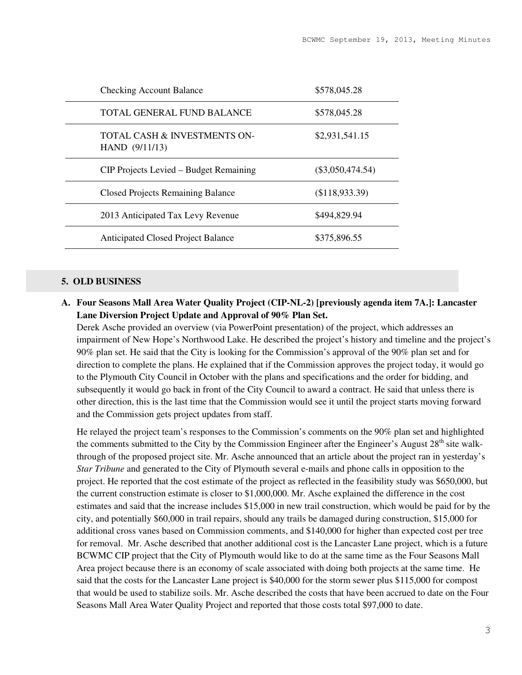| <b>Checking Account Balance</b>                | \$578,045.28       |
|------------------------------------------------|--------------------|
| TOTAL GENERAL FUND BALANCE                     | \$578,045.28       |
| TOTAL CASH & INVESTMENTS ON-<br>HAND (9/11/13) | \$2,931,541.15     |
| CIP Projects Levied – Budget Remaining         | $(\$3,050,474.54)$ |
| <b>Closed Projects Remaining Balance</b>       | (\$118,933.39)     |
| 2013 Anticipated Tax Levy Revenue              | \$494,829.94       |
| <b>Anticipated Closed Project Balance</b>      | \$375,896.55       |

#### **5. OLD BUSINESS**

**A. Four Seasons Mall Area Water Quality Project (CIP-NL-2) [previously agenda item 7A.]: Lancaster Lane Diversion Project Update and Approval of 90% Plan Set.** 

Derek Asche provided an overview (via PowerPoint presentation) of the project, which addresses an impairment of New Hope's Northwood Lake. He described the project's history and timeline and the project's 90% plan set. He said that the City is looking for the Commission's approval of the 90% plan set and for direction to complete the plans. He explained that if the Commission approves the project today, it would go to the Plymouth City Council in October with the plans and specifications and the order for bidding, and subsequently it would go back in front of the City Council to award a contract. He said that unless there is other direction, this is the last time that the Commission would see it until the project starts moving forward and the Commission gets project updates from staff.

He relayed the project team's responses to the Commission's comments on the 90% plan set and highlighted the comments submitted to the City by the Commission Engineer after the Engineer's August 28<sup>th</sup> site walkthrough of the proposed project site. Mr. Asche announced that an article about the project ran in yesterday's *Star Tribune* and generated to the City of Plymouth several e-mails and phone calls in opposition to the project. He reported that the cost estimate of the project as reflected in the feasibility study was \$650,000, but the current construction estimate is closer to \$1,000,000. Mr. Asche explained the difference in the cost estimates and said that the increase includes \$15,000 in new trail construction, which would be paid for by the city, and potentially \$60,000 in trail repairs, should any trails be damaged during construction, \$15,000 for additional cross vanes based on Commission comments, and \$140,000 for higher than expected cost per tree for removal. Mr. Asche described that another additional cost is the Lancaster Lane project, which is a future BCWMC CIP project that the City of Plymouth would like to do at the same time as the Four Seasons Mall Area project because there is an economy of scale associated with doing both projects at the same time. He said that the costs for the Lancaster Lane project is \$40,000 for the storm sewer plus \$115,000 for compost that would be used to stabilize soils. Mr. Asche described the costs that have been accrued to date on the Four Seasons Mall Area Water Quality Project and reported that those costs total \$97,000 to date.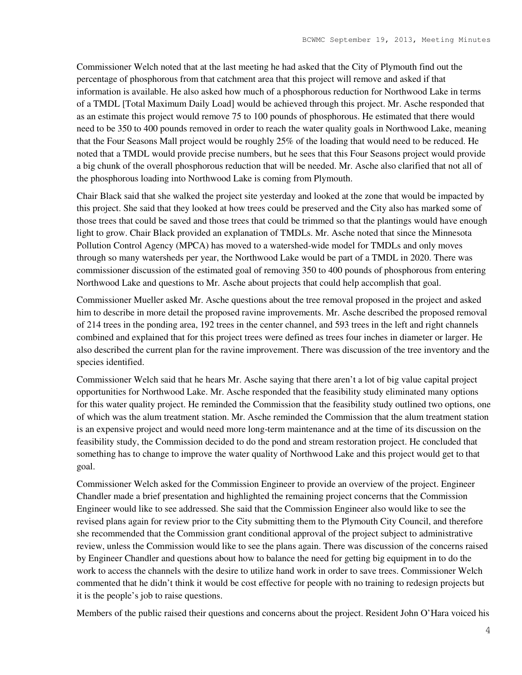Commissioner Welch noted that at the last meeting he had asked that the City of Plymouth find out the percentage of phosphorous from that catchment area that this project will remove and asked if that information is available. He also asked how much of a phosphorous reduction for Northwood Lake in terms of a TMDL [Total Maximum Daily Load] would be achieved through this project. Mr. Asche responded that as an estimate this project would remove 75 to 100 pounds of phosphorous. He estimated that there would need to be 350 to 400 pounds removed in order to reach the water quality goals in Northwood Lake, meaning that the Four Seasons Mall project would be roughly 25% of the loading that would need to be reduced. He noted that a TMDL would provide precise numbers, but he sees that this Four Seasons project would provide a big chunk of the overall phosphorous reduction that will be needed. Mr. Asche also clarified that not all of the phosphorous loading into Northwood Lake is coming from Plymouth.

Chair Black said that she walked the project site yesterday and looked at the zone that would be impacted by this project. She said that they looked at how trees could be preserved and the City also has marked some of those trees that could be saved and those trees that could be trimmed so that the plantings would have enough light to grow. Chair Black provided an explanation of TMDLs. Mr. Asche noted that since the Minnesota Pollution Control Agency (MPCA) has moved to a watershed-wide model for TMDLs and only moves through so many watersheds per year, the Northwood Lake would be part of a TMDL in 2020. There was commissioner discussion of the estimated goal of removing 350 to 400 pounds of phosphorous from entering Northwood Lake and questions to Mr. Asche about projects that could help accomplish that goal.

Commissioner Mueller asked Mr. Asche questions about the tree removal proposed in the project and asked him to describe in more detail the proposed ravine improvements. Mr. Asche described the proposed removal of 214 trees in the ponding area, 192 trees in the center channel, and 593 trees in the left and right channels combined and explained that for this project trees were defined as trees four inches in diameter or larger. He also described the current plan for the ravine improvement. There was discussion of the tree inventory and the species identified.

Commissioner Welch said that he hears Mr. Asche saying that there aren't a lot of big value capital project opportunities for Northwood Lake. Mr. Asche responded that the feasibility study eliminated many options for this water quality project. He reminded the Commission that the feasibility study outlined two options, one of which was the alum treatment station. Mr. Asche reminded the Commission that the alum treatment station is an expensive project and would need more long-term maintenance and at the time of its discussion on the feasibility study, the Commission decided to do the pond and stream restoration project. He concluded that something has to change to improve the water quality of Northwood Lake and this project would get to that goal.

Commissioner Welch asked for the Commission Engineer to provide an overview of the project. Engineer Chandler made a brief presentation and highlighted the remaining project concerns that the Commission Engineer would like to see addressed. She said that the Commission Engineer also would like to see the revised plans again for review prior to the City submitting them to the Plymouth City Council, and therefore she recommended that the Commission grant conditional approval of the project subject to administrative review, unless the Commission would like to see the plans again. There was discussion of the concerns raised by Engineer Chandler and questions about how to balance the need for getting big equipment in to do the work to access the channels with the desire to utilize hand work in order to save trees. Commissioner Welch commented that he didn't think it would be cost effective for people with no training to redesign projects but it is the people's job to raise questions.

Members of the public raised their questions and concerns about the project. Resident John O'Hara voiced his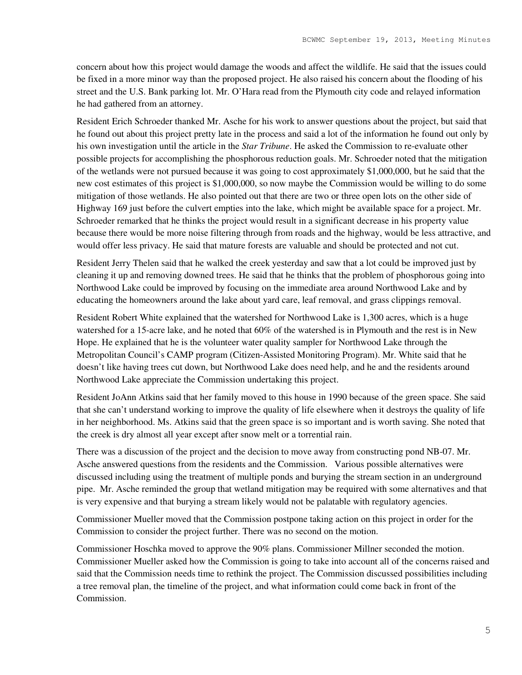concern about how this project would damage the woods and affect the wildlife. He said that the issues could be fixed in a more minor way than the proposed project. He also raised his concern about the flooding of his street and the U.S. Bank parking lot. Mr. O'Hara read from the Plymouth city code and relayed information he had gathered from an attorney.

Resident Erich Schroeder thanked Mr. Asche for his work to answer questions about the project, but said that he found out about this project pretty late in the process and said a lot of the information he found out only by his own investigation until the article in the *Star Tribune*. He asked the Commission to re-evaluate other possible projects for accomplishing the phosphorous reduction goals. Mr. Schroeder noted that the mitigation of the wetlands were not pursued because it was going to cost approximately \$1,000,000, but he said that the new cost estimates of this project is \$1,000,000, so now maybe the Commission would be willing to do some mitigation of those wetlands. He also pointed out that there are two or three open lots on the other side of Highway 169 just before the culvert empties into the lake, which might be available space for a project. Mr. Schroeder remarked that he thinks the project would result in a significant decrease in his property value because there would be more noise filtering through from roads and the highway, would be less attractive, and would offer less privacy. He said that mature forests are valuable and should be protected and not cut.

Resident Jerry Thelen said that he walked the creek yesterday and saw that a lot could be improved just by cleaning it up and removing downed trees. He said that he thinks that the problem of phosphorous going into Northwood Lake could be improved by focusing on the immediate area around Northwood Lake and by educating the homeowners around the lake about yard care, leaf removal, and grass clippings removal.

Resident Robert White explained that the watershed for Northwood Lake is 1,300 acres, which is a huge watershed for a 15-acre lake, and he noted that 60% of the watershed is in Plymouth and the rest is in New Hope. He explained that he is the volunteer water quality sampler for Northwood Lake through the Metropolitan Council's CAMP program (Citizen-Assisted Monitoring Program). Mr. White said that he doesn't like having trees cut down, but Northwood Lake does need help, and he and the residents around Northwood Lake appreciate the Commission undertaking this project.

Resident JoAnn Atkins said that her family moved to this house in 1990 because of the green space. She said that she can't understand working to improve the quality of life elsewhere when it destroys the quality of life in her neighborhood. Ms. Atkins said that the green space is so important and is worth saving. She noted that the creek is dry almost all year except after snow melt or a torrential rain.

There was a discussion of the project and the decision to move away from constructing pond NB-07. Mr. Asche answered questions from the residents and the Commission. Various possible alternatives were discussed including using the treatment of multiple ponds and burying the stream section in an underground pipe. Mr. Asche reminded the group that wetland mitigation may be required with some alternatives and that is very expensive and that burying a stream likely would not be palatable with regulatory agencies.

Commissioner Mueller moved that the Commission postpone taking action on this project in order for the Commission to consider the project further. There was no second on the motion.

Commissioner Hoschka moved to approve the 90% plans. Commissioner Millner seconded the motion. Commissioner Mueller asked how the Commission is going to take into account all of the concerns raised and said that the Commission needs time to rethink the project. The Commission discussed possibilities including a tree removal plan, the timeline of the project, and what information could come back in front of the Commission.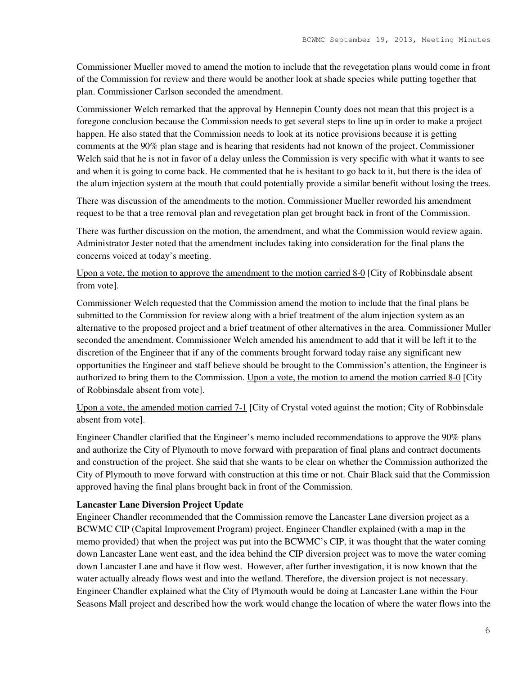Commissioner Mueller moved to amend the motion to include that the revegetation plans would come in front of the Commission for review and there would be another look at shade species while putting together that plan. Commissioner Carlson seconded the amendment.

Commissioner Welch remarked that the approval by Hennepin County does not mean that this project is a foregone conclusion because the Commission needs to get several steps to line up in order to make a project happen. He also stated that the Commission needs to look at its notice provisions because it is getting comments at the 90% plan stage and is hearing that residents had not known of the project. Commissioner Welch said that he is not in favor of a delay unless the Commission is very specific with what it wants to see and when it is going to come back. He commented that he is hesitant to go back to it, but there is the idea of the alum injection system at the mouth that could potentially provide a similar benefit without losing the trees.

There was discussion of the amendments to the motion. Commissioner Mueller reworded his amendment request to be that a tree removal plan and revegetation plan get brought back in front of the Commission.

There was further discussion on the motion, the amendment, and what the Commission would review again. Administrator Jester noted that the amendment includes taking into consideration for the final plans the concerns voiced at today's meeting.

Upon a vote, the motion to approve the amendment to the motion carried 8-0 [City of Robbinsdale absent from vote].

Commissioner Welch requested that the Commission amend the motion to include that the final plans be submitted to the Commission for review along with a brief treatment of the alum injection system as an alternative to the proposed project and a brief treatment of other alternatives in the area. Commissioner Muller seconded the amendment. Commissioner Welch amended his amendment to add that it will be left it to the discretion of the Engineer that if any of the comments brought forward today raise any significant new opportunities the Engineer and staff believe should be brought to the Commission's attention, the Engineer is authorized to bring them to the Commission. Upon a vote, the motion to amend the motion carried 8-0 [City of Robbinsdale absent from vote].

Upon a vote, the amended motion carried 7-1 [City of Crystal voted against the motion; City of Robbinsdale absent from vote].

Engineer Chandler clarified that the Engineer's memo included recommendations to approve the 90% plans and authorize the City of Plymouth to move forward with preparation of final plans and contract documents and construction of the project. She said that she wants to be clear on whether the Commission authorized the City of Plymouth to move forward with construction at this time or not. Chair Black said that the Commission approved having the final plans brought back in front of the Commission.

### **Lancaster Lane Diversion Project Update**

Engineer Chandler recommended that the Commission remove the Lancaster Lane diversion project as a BCWMC CIP (Capital Improvement Program) project. Engineer Chandler explained (with a map in the memo provided) that when the project was put into the BCWMC's CIP, it was thought that the water coming down Lancaster Lane went east, and the idea behind the CIP diversion project was to move the water coming down Lancaster Lane and have it flow west. However, after further investigation, it is now known that the water actually already flows west and into the wetland. Therefore, the diversion project is not necessary. Engineer Chandler explained what the City of Plymouth would be doing at Lancaster Lane within the Four Seasons Mall project and described how the work would change the location of where the water flows into the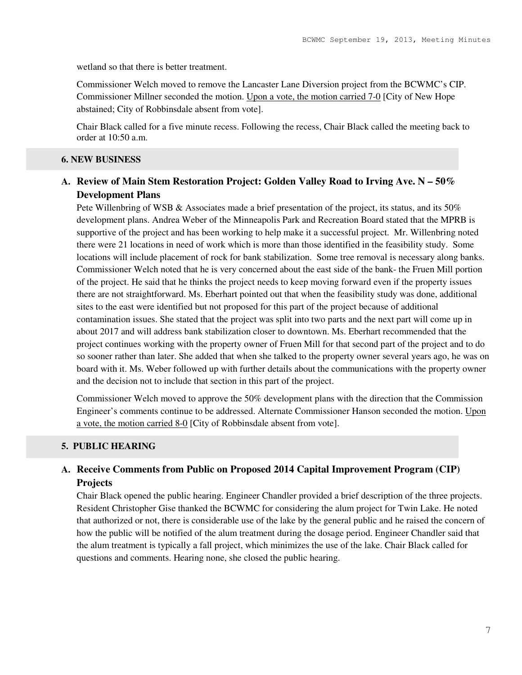wetland so that there is better treatment.

Commissioner Welch moved to remove the Lancaster Lane Diversion project from the BCWMC's CIP. Commissioner Millner seconded the motion. Upon a vote, the motion carried 7-0 [City of New Hope abstained; City of Robbinsdale absent from vote].

Chair Black called for a five minute recess. Following the recess, Chair Black called the meeting back to order at 10:50 a.m.

### **6. NEW BUSINESS**

## **A. Review of Main Stem Restoration Project: Golden Valley Road to Irving Ave. N – 50% Development Plans**

Pete Willenbring of WSB & Associates made a brief presentation of the project, its status, and its 50% development plans. Andrea Weber of the Minneapolis Park and Recreation Board stated that the MPRB is supportive of the project and has been working to help make it a successful project. Mr. Willenbring noted there were 21 locations in need of work which is more than those identified in the feasibility study. Some locations will include placement of rock for bank stabilization. Some tree removal is necessary along banks. Commissioner Welch noted that he is very concerned about the east side of the bank- the Fruen Mill portion of the project. He said that he thinks the project needs to keep moving forward even if the property issues there are not straightforward. Ms. Eberhart pointed out that when the feasibility study was done, additional sites to the east were identified but not proposed for this part of the project because of additional contamination issues. She stated that the project was split into two parts and the next part will come up in about 2017 and will address bank stabilization closer to downtown. Ms. Eberhart recommended that the project continues working with the property owner of Fruen Mill for that second part of the project and to do so sooner rather than later. She added that when she talked to the property owner several years ago, he was on board with it. Ms. Weber followed up with further details about the communications with the property owner and the decision not to include that section in this part of the project.

Commissioner Welch moved to approve the 50% development plans with the direction that the Commission Engineer's comments continue to be addressed. Alternate Commissioner Hanson seconded the motion. Upon a vote, the motion carried 8-0 [City of Robbinsdale absent from vote].

### **5. PUBLIC HEARING**

## **A. Receive Comments from Public on Proposed 2014 Capital Improvement Program (CIP) Projects**

Chair Black opened the public hearing. Engineer Chandler provided a brief description of the three projects. Resident Christopher Gise thanked the BCWMC for considering the alum project for Twin Lake. He noted that authorized or not, there is considerable use of the lake by the general public and he raised the concern of how the public will be notified of the alum treatment during the dosage period. Engineer Chandler said that the alum treatment is typically a fall project, which minimizes the use of the lake. Chair Black called for questions and comments. Hearing none, she closed the public hearing.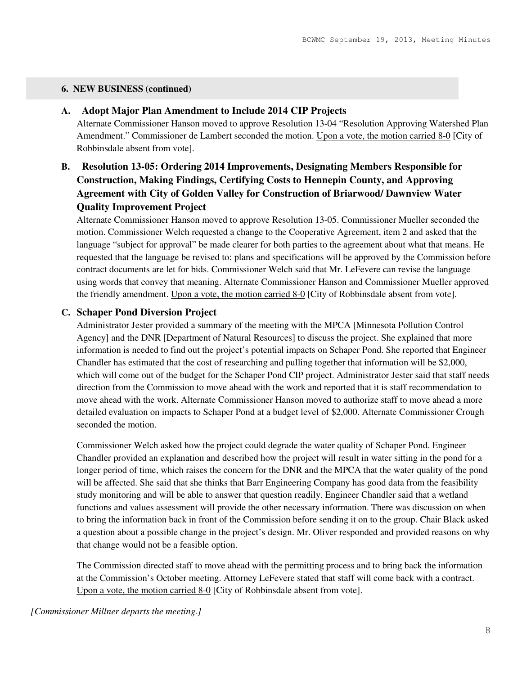#### **6. NEW BUSINESS (continued)**

### **A. Adopt Major Plan Amendment to Include 2014 CIP Projects**

Alternate Commissioner Hanson moved to approve Resolution 13-04 "Resolution Approving Watershed Plan Amendment." Commissioner de Lambert seconded the motion. Upon a vote, the motion carried 8-0 [City of Robbinsdale absent from vote].

## **B. Resolution 13-05: Ordering 2014 Improvements, Designating Members Responsible for Construction, Making Findings, Certifying Costs to Hennepin County, and Approving Agreement with City of Golden Valley for Construction of Briarwood/ Dawnview Water Quality Improvement Project**

Alternate Commissioner Hanson moved to approve Resolution 13-05. Commissioner Mueller seconded the motion. Commissioner Welch requested a change to the Cooperative Agreement, item 2 and asked that the language "subject for approval" be made clearer for both parties to the agreement about what that means. He requested that the language be revised to: plans and specifications will be approved by the Commission before contract documents are let for bids. Commissioner Welch said that Mr. LeFevere can revise the language using words that convey that meaning. Alternate Commissioner Hanson and Commissioner Mueller approved the friendly amendment. Upon a vote, the motion carried 8-0 [City of Robbinsdale absent from vote].

### **C. Schaper Pond Diversion Project**

Administrator Jester provided a summary of the meeting with the MPCA [Minnesota Pollution Control Agency] and the DNR [Department of Natural Resources] to discuss the project. She explained that more information is needed to find out the project's potential impacts on Schaper Pond. She reported that Engineer Chandler has estimated that the cost of researching and pulling together that information will be \$2,000, which will come out of the budget for the Schaper Pond CIP project. Administrator Jester said that staff needs direction from the Commission to move ahead with the work and reported that it is staff recommendation to move ahead with the work. Alternate Commissioner Hanson moved to authorize staff to move ahead a more detailed evaluation on impacts to Schaper Pond at a budget level of \$2,000. Alternate Commissioner Crough seconded the motion.

Commissioner Welch asked how the project could degrade the water quality of Schaper Pond. Engineer Chandler provided an explanation and described how the project will result in water sitting in the pond for a longer period of time, which raises the concern for the DNR and the MPCA that the water quality of the pond will be affected. She said that she thinks that Barr Engineering Company has good data from the feasibility study monitoring and will be able to answer that question readily. Engineer Chandler said that a wetland functions and values assessment will provide the other necessary information. There was discussion on when to bring the information back in front of the Commission before sending it on to the group. Chair Black asked a question about a possible change in the project's design. Mr. Oliver responded and provided reasons on why that change would not be a feasible option.

The Commission directed staff to move ahead with the permitting process and to bring back the information at the Commission's October meeting. Attorney LeFevere stated that staff will come back with a contract. Upon a vote, the motion carried 8-0 [City of Robbinsdale absent from vote].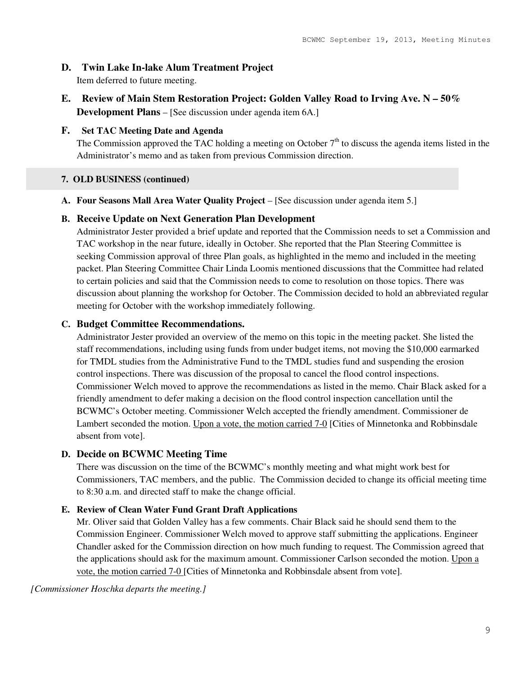### **D. Twin Lake In-lake Alum Treatment Project**

Item deferred to future meeting.

**E. Review of Main Stem Restoration Project: Golden Valley Road to Irving Ave. N – 50% Development Plans** – [See discussion under agenda item 6A.]

### **F. Set TAC Meeting Date and Agenda**

The Commission approved the TAC holding a meeting on October  $7<sup>th</sup>$  to discuss the agenda items listed in the Administrator's memo and as taken from previous Commission direction.

### **7. OLD BUSINESS (continued)**

**A. Four Seasons Mall Area Water Quality Project** – [See discussion under agenda item 5.]

### **B. Receive Update on Next Generation Plan Development**

Administrator Jester provided a brief update and reported that the Commission needs to set a Commission and TAC workshop in the near future, ideally in October. She reported that the Plan Steering Committee is seeking Commission approval of three Plan goals, as highlighted in the memo and included in the meeting packet. Plan Steering Committee Chair Linda Loomis mentioned discussions that the Committee had related to certain policies and said that the Commission needs to come to resolution on those topics. There was discussion about planning the workshop for October. The Commission decided to hold an abbreviated regular meeting for October with the workshop immediately following.

### **C. Budget Committee Recommendations.**

Administrator Jester provided an overview of the memo on this topic in the meeting packet. She listed the staff recommendations, including using funds from under budget items, not moving the \$10,000 earmarked for TMDL studies from the Administrative Fund to the TMDL studies fund and suspending the erosion control inspections. There was discussion of the proposal to cancel the flood control inspections. Commissioner Welch moved to approve the recommendations as listed in the memo. Chair Black asked for a friendly amendment to defer making a decision on the flood control inspection cancellation until the BCWMC's October meeting. Commissioner Welch accepted the friendly amendment. Commissioner de Lambert seconded the motion. Upon a vote, the motion carried 7-0 [Cities of Minnetonka and Robbinsdale absent from vote].

### **D. Decide on BCWMC Meeting Time**

There was discussion on the time of the BCWMC's monthly meeting and what might work best for Commissioners, TAC members, and the public. The Commission decided to change its official meeting time to 8:30 a.m. and directed staff to make the change official.

### **E. Review of Clean Water Fund Grant Draft Applications**

Mr. Oliver said that Golden Valley has a few comments. Chair Black said he should send them to the Commission Engineer. Commissioner Welch moved to approve staff submitting the applications. Engineer Chandler asked for the Commission direction on how much funding to request. The Commission agreed that the applications should ask for the maximum amount. Commissioner Carlson seconded the motion. Upon a vote, the motion carried 7-0 [Cities of Minnetonka and Robbinsdale absent from vote].

*[Commissioner Hoschka departs the meeting.]*